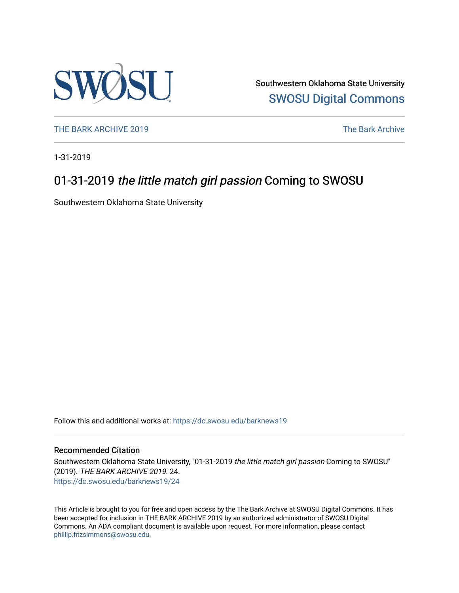

Southwestern Oklahoma State University [SWOSU Digital Commons](https://dc.swosu.edu/) 

[THE BARK ARCHIVE 2019](https://dc.swosu.edu/barknews19) The Bark Archive

1-31-2019

## 01-31-2019 the little match girl passion Coming to SWOSU

Southwestern Oklahoma State University

Follow this and additional works at: [https://dc.swosu.edu/barknews19](https://dc.swosu.edu/barknews19?utm_source=dc.swosu.edu%2Fbarknews19%2F24&utm_medium=PDF&utm_campaign=PDFCoverPages)

#### Recommended Citation

Southwestern Oklahoma State University, "01-31-2019 the little match girl passion Coming to SWOSU" (2019). THE BARK ARCHIVE 2019. 24. [https://dc.swosu.edu/barknews19/24](https://dc.swosu.edu/barknews19/24?utm_source=dc.swosu.edu%2Fbarknews19%2F24&utm_medium=PDF&utm_campaign=PDFCoverPages) 

This Article is brought to you for free and open access by the The Bark Archive at SWOSU Digital Commons. It has been accepted for inclusion in THE BARK ARCHIVE 2019 by an authorized administrator of SWOSU Digital Commons. An ADA compliant document is available upon request. For more information, please contact [phillip.fitzsimmons@swosu.edu](mailto:phillip.fitzsimmons@swosu.edu).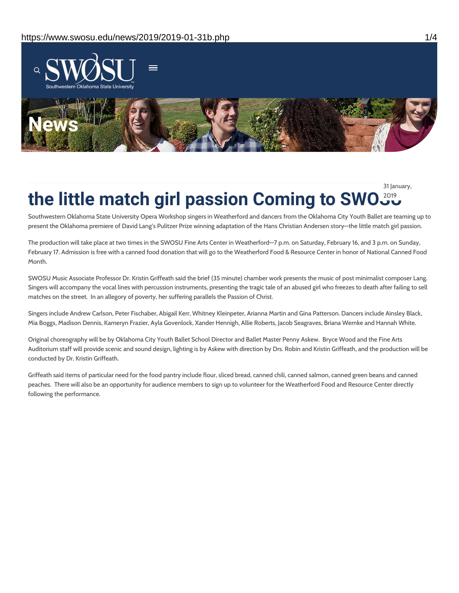

**indall in the little match girl passion Coming to SWO** 31 January,

Southwestern Oklahoma State University Opera Workshop singers in Weatherford and dancers from the Oklahoma City Youth Ballet are teaming up to present the Oklahoma premiere of David Lang's Pulitzer Prize winning adaptation of the Hans Christian Andersen story—the little match girl passion.

The production will take place at two times in the SWOSU Fine Arts Center in Weatherford—7 p.m. on Saturday, February 16, and 3 p.m. on Sunday, February 17. Admission is free with a canned food donation that will go to the Weatherford Food & Resource Center in honor of National Canned Food Month.

SWOSU Music Associate Professor Dr. Kristin Griffeath said the brief (35 minute) chamber work presents the music of post minimalist composer Lang. Singers will accompany the vocal lines with percussion instruments, presenting the tragic tale of an abused girl who freezes to death after failing to sell matches on the street. In an allegory of poverty, her suffering parallels the Passion of Christ.

Singers include Andrew Carlson, Peter Fischaber, Abigail Kerr, Whitney Kleinpeter, Arianna Martin and Gina Patterson. Dancers include Ainsley Black, Mia Boggs, Madison Dennis, Kameryn Frazier, Ayla Govenlock, Xander Hennigh, Allie Roberts, Jacob Seagraves, Briana Wernke and Hannah White.

Original choreography will be by Oklahoma City Youth Ballet School Director and Ballet Master Penny Askew. Bryce Wood and the Fine Arts Auditorium staff will provide scenic and sound design, lighting is by Askew with direction by Drs. Robin and Kristin Griffeath, and the production will be conducted by Dr. Kristin Griffeath.

Griffeath said items of particular need for the food pantry include flour, sliced bread, canned chili, canned salmon, canned green beans and canned peaches. There will also be an opportunity for audience members to sign up to volunteer for the Weatherford Food and Resource Center directly following the performance.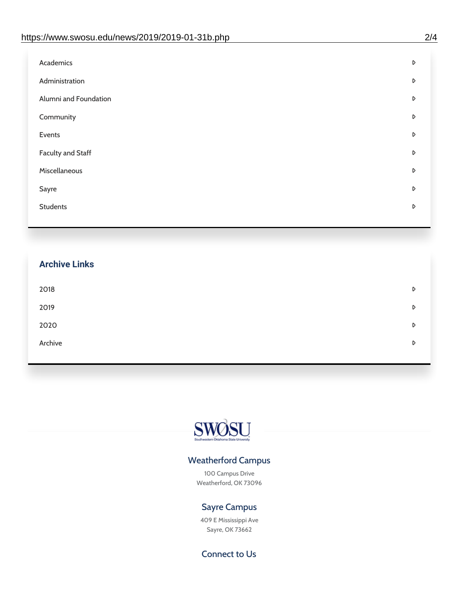| D |
|---|
| D |
| D |
| D |
| D |
| D |
| D |
| D |
| D |
|   |

# **Archive Links**  $2018$  $2019$ [2020](https://www.swosu.edu/news/2020/index.php)  $\bullet$ [Archive](https://dc.swosu.edu/bark/) **Archive Archive Archive Archive Archive** Archive Archive Archive Archive Archive Archive Archive Archive



### Weatherford Campus

100 Campus Drive Weatherford, OK 73096

### Sayre Campus

409 E Mississippi Ave Sayre, OK 73662

Connect to Us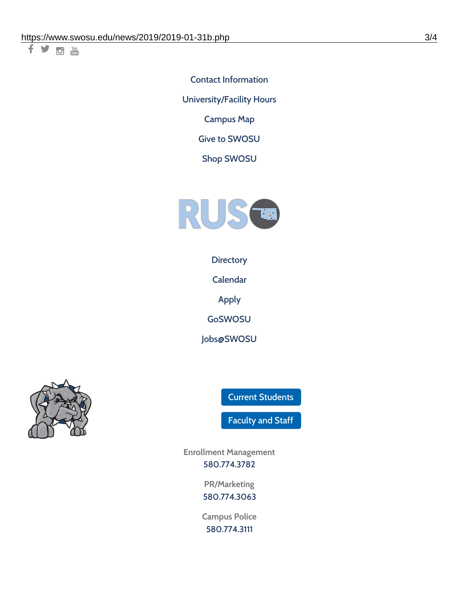千岁回调

Contact [Information](https://www.swosu.edu/about/contact.php) [University/Facility](https://www.swosu.edu/about/operating-hours.php) Hours [Campus](https://map.concept3d.com/?id=768#!ct/10964,10214,10213,10212,10205,10204,10203,10202,10136,10129,10128,0,31226,10130,10201,10641,0) Map

Give to [SWOSU](https://standingfirmly.com/donate)

Shop [SWOSU](https://shopswosu.merchorders.com/)



**[Directory](https://www.swosu.edu/directory/index.php)** 

[Calendar](https://eventpublisher.dudesolutions.com/swosu/)

[Apply](https://www.swosu.edu/admissions/apply-to-swosu.php)

[GoSWOSU](https://qlsso.quicklaunchsso.com/home/1267)

[Jobs@SWOSU](https://swosu.csod.com/ux/ats/careersite/1/home?c=swosu)



Current [Students](https://bulldog.swosu.edu/index.php)

[Faculty](https://bulldog.swosu.edu/faculty-staff/index.php) and Staff

**Enrollment Management** [580.774.3782](tel:5807743782)

> **PR/Marketing** [580.774.3063](tel:5807743063)

**Campus Police** [580.774.3111](tel:5807743111)